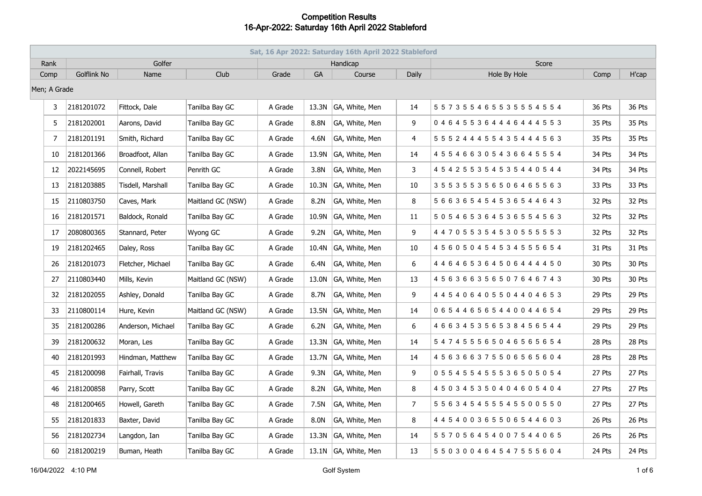|              | Sat, 16 Apr 2022: Saturday 16th April 2022 Stableford |                    |                   |                   |         |           |                      |                |                                       |        |               |  |  |
|--------------|-------------------------------------------------------|--------------------|-------------------|-------------------|---------|-----------|----------------------|----------------|---------------------------------------|--------|---------------|--|--|
| Rank         |                                                       |                    | Golfer            |                   |         |           | Handicap             |                | Score                                 |        |               |  |  |
| Comp         |                                                       | <b>Golflink No</b> | Name              | Club              | Grade   | <b>GA</b> | Course               | Daily          | Hole By Hole                          | Comp   | H'cap         |  |  |
| Men; A Grade |                                                       |                    |                   |                   |         |           |                      |                |                                       |        |               |  |  |
|              | 3                                                     | 2181201072         | Fittock, Dale     | Tanilba Bay GC    | A Grade |           | 13.3N GA, White, Men | 14             | 5 5 7 3 5 5 4 6 5 5 3 5 5 5 4 5 5 4   | 36 Pts | 36 Pts        |  |  |
|              | 5.                                                    | 2181202001         | Aarons, David     | Tanilba Bay GC    | A Grade | 8.8N      | GA, White, Men       | 9              | 046455364446444553                    | 35 Pts | 35 Pts        |  |  |
|              | 7                                                     | 2181201191         | Smith, Richard    | Tanilba Bay GC    | A Grade | 4.6N      | GA, White, Men       | 4              | 5 5 5 2 4 4 4 5 5 4 3 5 4 4 4 5 6 3   | 35 Pts | <b>35 Pts</b> |  |  |
|              | 10                                                    | 2181201366         | Broadfoot, Allan  | Tanilba Bay GC    | A Grade | 13.9N     | GA, White, Men       | 14             | 4 5 5 4 6 6 3 0 5 4 3 6 6 4 5 5 5 4   | 34 Pts | 34 Pts        |  |  |
|              | 12                                                    | 2022145695         | Connell, Robert   | Penrith GC        | A Grade | 3.8N      | GA, White, Men       | 3              | 4 5 4 2 5 5 3 5 4 5 3 5 4 4 0 5 4 4   | 34 Pts | 34 Pts        |  |  |
|              | 13                                                    | 2181203885         | Tisdell, Marshall | Tanilba Bay GC    | A Grade | 10.3N     | GA, White, Men       | 10             | 355355356506465563                    | 33 Pts | 33 Pts        |  |  |
|              | 15                                                    | 2110803750         | Caves, Mark       | Maitland GC (NSW) | A Grade | 8.2N      | GA, White, Men       | 8              | 5 6 6 3 6 5 4 5 4 5 3 6 5 4 4 6 4 3   | 32 Pts | 32 Pts        |  |  |
|              | 16                                                    | 2181201571         | Baldock, Ronald   | Tanilba Bay GC    | A Grade |           | 10.9N GA, White, Men | 11             | 5 0 5 4 6 5 3 6 4 5 3 6 5 5 4 5 6 3   | 32 Pts | 32 Pts        |  |  |
|              | 17                                                    | 2080800365         | Stannard, Peter   | Wyong GC          | A Grade | 9.2N      | GA, White, Men       | 9              | 4 4 7 0 5 5 3 5 4 5 3 0 5 5 5 5 5 5 3 | 32 Pts | 32 Pts        |  |  |
|              | 19                                                    | 2181202465         | Daley, Ross       | Tanilba Bay GC    | A Grade | 10.4N     | GA, White, Men       | 10             | 4 5 6 0 5 0 4 5 4 5 3 4 5 5 5 6 5 4   | 31 Pts | 31 Pts        |  |  |
|              | 26                                                    | 2181201073         | Fletcher, Michael | Tanilba Bay GC    | A Grade | 6.4N      | GA, White, Men       | 6              | 4 4 6 4 6 5 3 6 4 5 0 6 4 4 4 4 5 0   | 30 Pts | 30 Pts        |  |  |
|              | 27                                                    | 2110803440         | Mills, Kevin      | Maitland GC (NSW) | A Grade | 13.0N     | GA, White, Men       | 13             | 4 5 6 3 6 6 3 5 6 5 0 7 6 4 6 7 4 3   | 30 Pts | 30 Pts        |  |  |
|              | 32                                                    | 2181202055         | Ashley, Donald    | Tanilba Bay GC    | A Grade | 8.7N      | GA, White, Men       | 9              |                                       | 29 Pts | 29 Pts        |  |  |
|              | 33                                                    | 2110800114         | Hure, Kevin       | Maitland GC (NSW) | A Grade | 13.5N     | GA, White, Men       | 14             | 0 6 5 4 4 6 5 6 5 4 4 0 0 4 4 6 5 4   | 29 Pts | 29 Pts        |  |  |
|              | 35                                                    | 2181200286         | Anderson, Michael | Tanilba Bay GC    | A Grade | 6.2N      | GA, White, Men       | 6              | 4 6 6 3 4 5 3 5 6 5 3 8 4 5 6 5 4 4   | 29 Pts | 29 Pts        |  |  |
|              | 39                                                    | 2181200632         | Moran, Les        | Tanilba Bay GC    | A Grade | 13.3N     | GA, White, Men       | 14             | 547455565046565654                    | 28 Pts | 28 Pts        |  |  |
|              | 40                                                    | 2181201993         | Hindman, Matthew  | Tanilba Bay GC    | A Grade | 13.7N     | GA, White, Men       | 14             | 4 5 6 3 6 6 3 7 5 5 0 6 5 6 5 6 0 4   | 28 Pts | 28 Pts        |  |  |
|              | 45                                                    | 2181200098         | Fairhall, Travis  | Tanilba Bay GC    | A Grade | 9.3N      | GA, White, Men       | 9              | 055455455536505054                    | 27 Pts | 27 Pts        |  |  |
|              | 46                                                    | 2181200858         | Parry, Scott      | Tanilba Bay GC    | A Grade | 8.2N      | GA, White, Men       | 8              | 450345350404605404                    | 27 Pts | 27 Pts        |  |  |
|              | 48                                                    | 2181200465         | Howell, Gareth    | Tanilba Bay GC    | A Grade | 7.5N      | GA, White, Men       | 7 <sup>7</sup> | 5 5 6 3 4 5 4 5 5 5 4 5 5 0 0 5 5 0   | 27 Pts | 27 Pts        |  |  |
|              | 55                                                    | 2181201833         | Baxter, David     | Tanilba Bay GC    | A Grade | 8.0N      | GA, White, Men       | 8              | 4 4 5 4 0 0 3 6 5 5 0 6 5 4 4 6 0 3   | 26 Pts | 26 Pts        |  |  |
|              | 56                                                    | 2181202734         | Langdon, Ian      | Tanilba Bay GC    | A Grade | 13.3N     | GA, White, Men       | 14             | 5 5 7 0 5 6 4 5 4 0 0 7 5 4 4 0 6 5   | 26 Pts | 26 Pts        |  |  |
|              | 60                                                    | 2181200219         | Buman, Heath      | Tanilba Bay GC    | A Grade |           | 13.1N GA, White, Men | 13             | 5 5 0 3 0 0 4 6 4 5 4 7 5 5 5 6 0 4   | 24 Pts | 24 Pts        |  |  |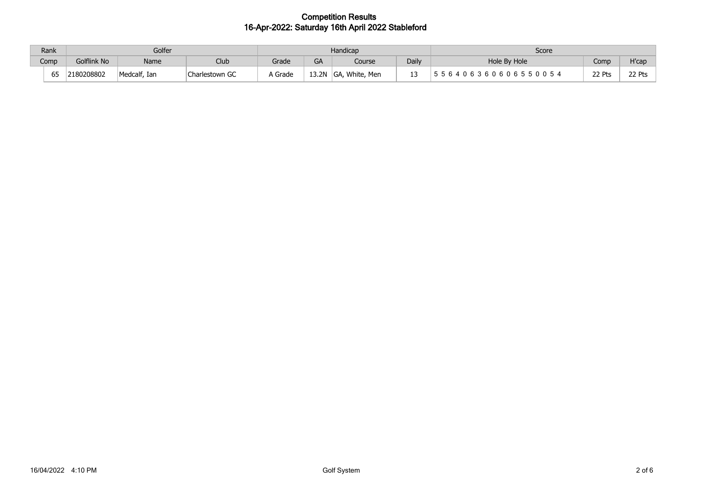| Rank | Golfer      |              |                | Handicap |       |                                       |       | Score                                    |        |        |
|------|-------------|--------------|----------------|----------|-------|---------------------------------------|-------|------------------------------------------|--------|--------|
| Comp | Golflink No | Name         | Club           | Grade    | GA    | Course                                | Daily | Hole By Hole                             | Comp   | H'car  |
| 65   | 2180208802  | Medcalf, Ian | Charlestown GC | A Grade  | 13.2N | . White.<br>$\sqrt{2}$<br>Men<br>∣GA, |       | _ 6 4 0 6 3 6 0 6 0 6 5 5 0 0 5 4<br>ח ה | 22 Pts | 22 Pts |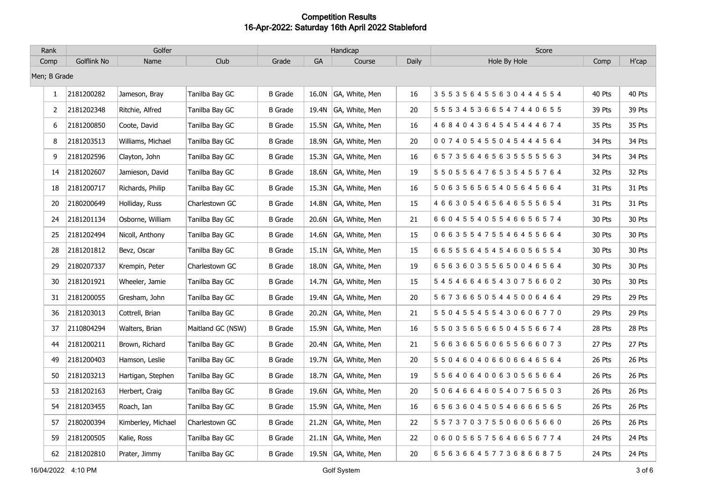| Rank         | Golfer      |                    |                   | Handicap       |       |                      |       | Score                               |        |        |
|--------------|-------------|--------------------|-------------------|----------------|-------|----------------------|-------|-------------------------------------|--------|--------|
| Comp         | Golflink No | Name               | Club              | Grade          | GA    | Course               | Daily | Hole By Hole                        | Comp   | H'cap  |
| Men; B Grade |             |                    |                   |                |       |                      |       |                                     |        |        |
| $\mathbf{1}$ | 2181200282  | Jameson, Bray      | Tanilba Bay GC    | <b>B</b> Grade | 16.0N | GA, White, Men       | 16    | 355356455630444554                  | 40 Pts | 40 Pts |
| 2            | 2181202348  | Ritchie, Alfred    | Tanilba Bay GC    | <b>B</b> Grade |       | 19.4N GA, White, Men | 20    | 5 5 5 3 4 5 3 6 6 5 4 7 4 4 0 6 5 5 | 39 Pts | 39 Pts |
| 6            | 2181200850  | Coote, David       | Tanilba Bay GC    | <b>B</b> Grade | 15.5N | GA, White, Men       | 16    | 4 6 8 4 0 4 3 6 4 5 4 5 4 4 4 6 7 4 | 35 Pts | 35 Pts |
| 8            | 2181203513  | Williams, Michael  | Tanilba Bay GC    | <b>B</b> Grade | 18.9N | GA, White, Men       | 20    | 0 0 7 4 0 5 4 5 5 0 4 5 4 4 4 5 6 4 | 34 Pts | 34 Pts |
| 9            | 2181202596  | Clayton, John      | Tanilba Bay GC    | <b>B</b> Grade | 15.3N | GA, White, Men       | 16    | 657356465635555563                  | 34 Pts | 34 Pts |
| 14           | 2181202607  | Jamieson, David    | Tanilba Bay GC    | <b>B</b> Grade |       | 18.6N GA, White, Men | 19    | 5 5 0 5 5 6 4 7 6 5 3 5 4 5 5 7 6 4 | 32 Pts | 32 Pts |
| 18           | 2181200717  | Richards, Philip   | Tanilba Bay GC    | <b>B</b> Grade |       | 15.3N GA, White, Men | 16    | 506356565405645664                  | 31 Pts | 31 Pts |
| 20           | 2180200649  | Holliday, Russ     | Charlestown GC    | <b>B</b> Grade | 14.8N | GA, White, Men       | 15    | 466305465646555654                  | 31 Pts | 31 Pts |
| 24           | 2181201134  | Osborne, William   | Tanilba Bay GC    | <b>B</b> Grade | 20.6N | GA, White, Men       | 21    | 660455405546656574                  | 30 Pts | 30 Pts |
| 25           | 2181202494  | Nicoll, Anthony    | Tanilba Bay GC    | <b>B</b> Grade | 14.6N | GA, White, Men       | 15    | 0 6 6 3 5 5 4 7 5 5 4 6 4 5 5 6 6 4 | 30 Pts | 30 Pts |
| 28           | 2181201812  | Bevz, Oscar        | Tanilba Bay GC    | <b>B</b> Grade |       | 15.1N GA, White, Men | 15    | 6 6 5 5 5 6 4 5 4 5 4 6 0 5 6 5 5 4 | 30 Pts | 30 Pts |
| 29           | 2180207337  | Krempin, Peter     | Charlestown GC    | <b>B</b> Grade |       | 18.0N GA, White, Men | 19    | 656360355650046564                  | 30 Pts | 30 Pts |
| 30           | 2181201921  | Wheeler, Jamie     | Tanilba Bay GC    | <b>B</b> Grade | 14.7N | GA, White, Men       | 15    | 545466465430756602                  | 30 Pts | 30 Pts |
| 31           | 2181200055  | Gresham, John      | Tanilba Bay GC    | <b>B</b> Grade | 19.4N | GA, White, Men       | 20    | 5 6 7 3 6 6 5 0 5 4 4 5 0 0 6 4 6 4 | 29 Pts | 29 Pts |
| 36           | 2181203013  | Cottrell, Brian    | Tanilba Bay GC    | <b>B</b> Grade | 20.2N | GA, White, Men       | 21    | 550455455430606770                  | 29 Pts | 29 Pts |
| 37           | 2110804294  | Walters, Brian     | Maitland GC (NSW) | <b>B</b> Grade |       | 15.9N GA, White, Men | 16    | 550356566504556674                  | 28 Pts | 28 Pts |
| 44           | 2181200211  | Brown, Richard     | Tanilba Bay GC    | <b>B</b> Grade |       | 20.4N GA, White, Men | 21    | 566366560655666073                  | 27 Pts | 27 Pts |
| 49           | 2181200403  | Hamson, Leslie     | Tanilba Bay GC    | B Grade        |       | 19.7N GA, White, Men | 20    | 5 5 0 4 6 0 4 0 6 6 0 6 6 4 6 5 6 4 | 26 Pts | 26 Pts |
| 50           | 2181203213  | Hartigan, Stephen  | Tanilba Bay GC    | <b>B</b> Grade | 18.7N | GA, White, Men       | 19    | 556406400630565664                  | 26 Pts | 26 Pts |
| 53           | 2181202163  | Herbert, Craig     | Tanilba Bay GC    | <b>B</b> Grade | 19.6N | GA, White, Men       | 20    | 506466460540756503                  | 26 Pts | 26 Pts |
| 54           | 2181203455  | Roach, Ian         | Tanilba Bay GC    | <b>B</b> Grade | 15.9N | GA, White, Men       | 16    | 656360450546666565                  | 26 Pts | 26 Pts |
| 57           | 2180200394  | Kimberley, Michael | Charlestown GC    | <b>B</b> Grade | 21.2N | GA, White, Men       | 22    | 5 5 7 3 7 0 3 7 5 5 0 6 0 6 5 6 6 0 | 26 Pts | 26 Pts |
| 59           | 2181200505  | Kalie, Ross        | Tanilba Bay GC    | B Grade        |       | 21.1N GA, White, Men | 22    | 060056575646656774                  | 24 Pts | 24 Pts |
| 62           | 2181202810  | Prater, Jimmy      | Tanilba Bay GC    | <b>B</b> Grade |       | 19.5N GA, White, Men | 20    | 656366457736866875                  | 24 Pts | 24 Pts |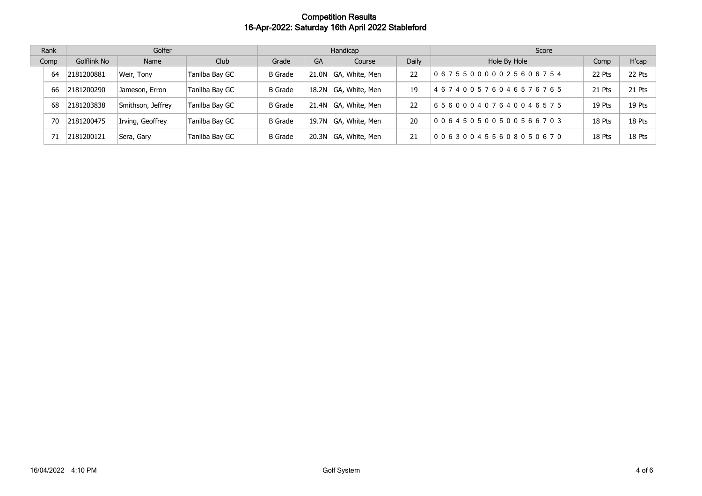| Rank |    | Golfer      |                   |                | Handicap       |           |                |       | Score                               |        |        |
|------|----|-------------|-------------------|----------------|----------------|-----------|----------------|-------|-------------------------------------|--------|--------|
| Comp |    | Golflink No | Name              | Club           | Grade          | <b>GA</b> | Course         | Daily | Hole By Hole                        | Comp   | H'cap  |
|      | 64 | 2181200881  | Weir, Tony        | Tanilba Bay GC | <b>B</b> Grade | 21.0N     | GA, White, Men | 22    | 0 6 7 5 5 0 0 0 0 0 2 5 6 0 6 7 5 4 | 22 Pts | 22 Pts |
|      | 66 | 2181200290  | Jameson, Erron    | Tanilba Bay GC | <b>B</b> Grade | 18.2N     | GA, White, Men | 19    | 467400576046576765                  | 21 Pts | 21 Pts |
|      | 68 | 2181203838  | Smithson, Jeffrey | Tanilba Bay GC | <b>B</b> Grade | 21.4N     | GA, White, Men | 22    | 656000407640046575                  | 19 Pts | 19 Pts |
|      | 70 | 2181200475  | Irving, Geoffrey  | Tanilba Bay GC | <b>B</b> Grade | 19.7N     | GA, White, Men | 20    | 0 0 6 4 5 0 5 0 0 5 0 0 5 6 6 7 0 3 | 18 Pts | 18 Pts |
|      |    | 2181200121  | Sera, Gary        | Tanilba Bay GC | <b>B</b> Grade | 20.3N     | GA, White, Men | 21    | 006300455608050670                  | 18 Pts | 18 Pts |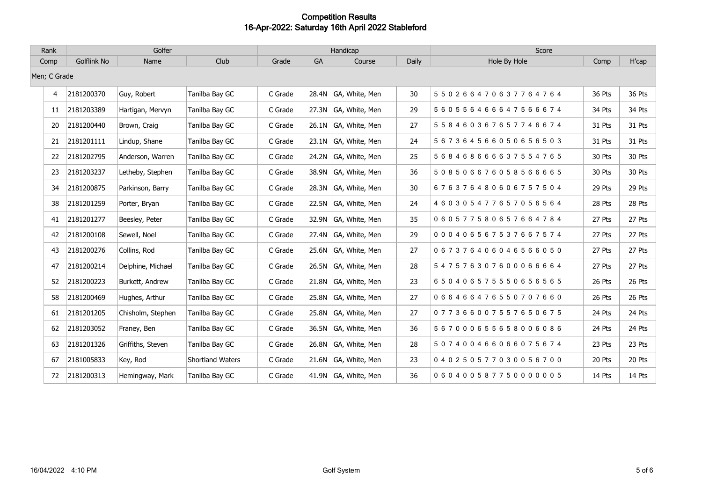| Rank         | Golfer      |                   |                  |         |       | Handicap             |       | Score              |        |        |
|--------------|-------------|-------------------|------------------|---------|-------|----------------------|-------|--------------------|--------|--------|
| Comp         | Golflink No | Name              | Club             | Grade   | GA    | Course               | Daily | Hole By Hole       | Comp   | H'cap  |
| Men; C Grade |             |                   |                  |         |       |                      |       |                    |        |        |
| 4            | 2181200370  | Guy, Robert       | Tanilba Bay GC   | C Grade | 28.4N | GA, White, Men       | 30    | 550266470637764764 | 36 Pts | 36 Pts |
| 11           | 2181203389  | Hartigan, Mervyn  | Tanilba Bay GC   | C Grade | 27.3N | GA, White, Men       | 29    | 560556466647566674 | 34 Pts | 34 Pts |
| 20           | 2181200440  | Brown, Craig      | Tanilba Bay GC   | C Grade | 26.1N | GA, White, Men       | 27    | 558460367657746674 | 31 Pts | 31 Pts |
| 21           | 2181201111  | Lindup, Shane     | Tanilba Bay GC   | C Grade |       | 23.1N GA, White, Men | 24    | 567364566050656503 | 31 Pts | 31 Pts |
| 22           | 2181202795  | Anderson, Warren  | Tanilba Bay GC   | C Grade | 24.2N | GA, White, Men       | 25    | 568468666637554765 | 30 Pts | 30 Pts |
| 23           | 2181203237  | Letheby, Stephen  | Tanilba Bay GC   | C Grade | 38.9N | GA, White, Men       | 36    | 508506676058566665 | 30 Pts | 30 Pts |
| 34           | 2181200875  | Parkinson, Barry  | Tanilba Bay GC   | C Grade |       | 28.3N GA, White, Men | 30    | 676376480606757504 | 29 Pts | 29 Pts |
| 38           | 2181201259  | Porter, Bryan     | Tanilba Bay GC   | C Grade | 22.5N | GA, White, Men       | 24    | 460305477657056564 | 28 Pts | 28 Pts |
| 41           | 2181201277  | Beesley, Peter    | Tanilba Bay GC   | C Grade | 32.9N | GA, White, Men       | 35    | 060577580657664784 | 27 Pts | 27 Pts |
| 42           | 2181200108  | Sewell, Noel      | Tanilba Bay GC   | C Grade | 27.4N | GA, White, Men       | 29    | 000406567537667574 | 27 Pts | 27 Pts |
| 43           | 2181200276  | Collins, Rod      | Tanilba Bay GC   | C Grade |       | 25.6N GA, White, Men | 27    | 067376406046566050 | 27 Pts | 27 Pts |
| 47           | 2181200214  | Delphine, Michael | Tanilba Bay GC   | C Grade | 26.5N | GA, White, Men       | 28    | 547576307600066664 | 27 Pts | 27 Pts |
| 52           | 2181200223  | Burkett, Andrew   | Tanilba Bay GC   | C Grade | 21.8N | GA, White, Men       | 23    | 650406575550656565 | 26 Pts | 26 Pts |
| 58           | 2181200469  | Hughes, Arthur    | Tanilba Bay GC   | C Grade | 25.8N | GA, White, Men       | 27    | 066466476550707660 | 26 Pts | 26 Pts |
| 61           | 2181201205  | Chisholm, Stephen | Tanilba Bay GC   | C Grade | 25.8N | GA, White, Men       | 27    | 077366007557650675 | 24 Pts | 24 Pts |
| 62           | 2181203052  | Franey, Ben       | Tanilba Bay GC   | C Grade |       | 36.5N GA, White, Men | 36    | 567000655658006086 | 24 Pts | 24 Pts |
| 63           | 2181201326  | Griffiths, Steven | Tanilba Bay GC   | C Grade | 26.8N | GA, White, Men       | 28    | 507400466066075674 | 23 Pts | 23 Pts |
| 67           | 2181005833  | Key, Rod          | Shortland Waters | C Grade | 21.6N | GA, White, Men       | 23    | 040250577030056700 | 20 Pts | 20 Pts |
| 72           | 2181200313  | Hemingway, Mark   | Tanilba Bay GC   | C Grade |       | 41.9N GA, White, Men | 36    | 060400587750000005 | 14 Pts | 14 Pts |